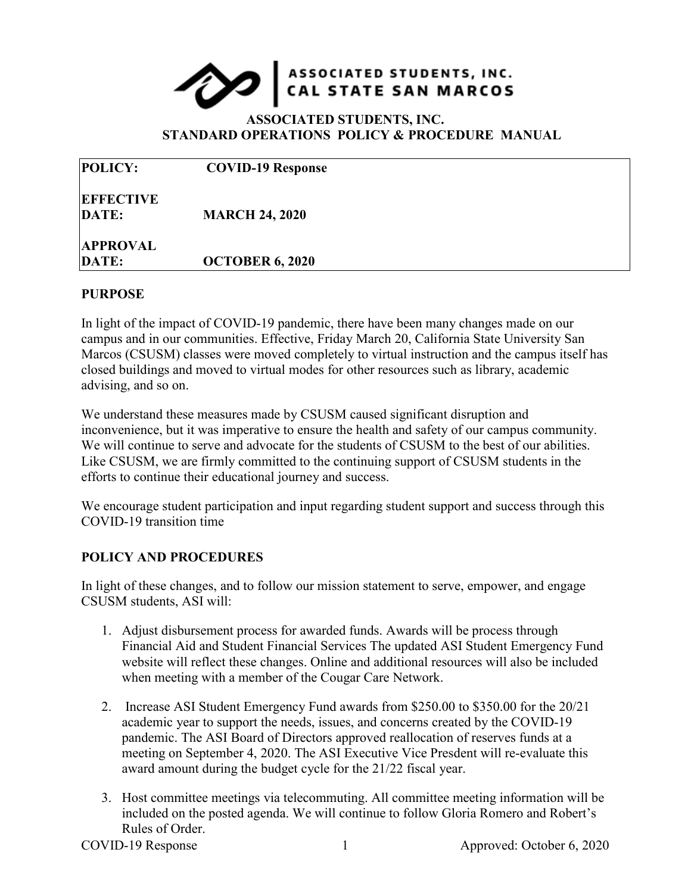

## **ASSOCIATED STUDENTS, INC. STANDARD OPERATIONS POLICY & PROCEDURE MANUAL**

| <b>POLICY:</b>            | <b>COVID-19 Response</b> |  |
|---------------------------|--------------------------|--|
| <b>EFFECTIVE</b><br>DATE: | <b>MARCH 24, 2020</b>    |  |
| <b>APPROVAL</b><br>DATE:  | <b>OCTOBER 6, 2020</b>   |  |

## **PURPOSE**

In light of the impact of COVID-19 pandemic, there have been many changes made on our campus and in our communities. Effective, Friday March 20, California State University San Marcos (CSUSM) classes were moved completely to virtual instruction and the campus itself has closed buildings and moved to virtual modes for other resources such as library, academic advising, and so on.

We understand these measures made by CSUSM caused significant disruption and inconvenience, but it was imperative to ensure the health and safety of our campus community. We will continue to serve and advocate for the students of CSUSM to the best of our abilities. Like CSUSM, we are firmly committed to the continuing support of CSUSM students in the efforts to continue their educational journey and success.

We encourage student participation and input regarding student support and success through this COVID-19 transition time

## **POLICY AND PROCEDURES**

In light of these changes, and to follow our mission statement to serve, empower, and engage CSUSM students, ASI will:

- 1. Adjust disbursement process for awarded funds. Awards will be process through Financial Aid and Student Financial Services The updated ASI Student Emergency Fund website will reflect these changes. Online and additional resources will also be included when meeting with a member of the Cougar Care Network.
- 2. Increase ASI Student Emergency Fund awards from \$250.00 to \$350.00 for the 20/21 academic year to support the needs, issues, and concerns created by the COVID-19 pandemic. The ASI Board of Directors approved reallocation of reserves funds at a meeting on September 4, 2020. The ASI Executive Vice Presdent will re-evaluate this award amount during the budget cycle for the 21/22 fiscal year.
- 3. Host committee meetings via telecommuting. All committee meeting information will be included on the posted agenda. We will continue to follow Gloria Romero and Robert's Rules of Order.